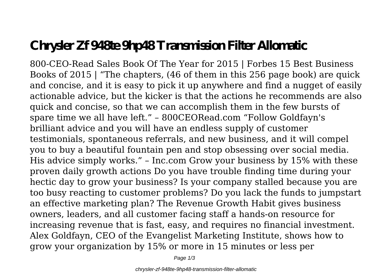## **Chrysler Zf 948te 9hp48 Transmission Filter Allomatic**

800-CEO-Read Sales Book Of The Year for 2015 | Forbes 15 Best Business Books of 2015 | "The chapters, (46 of them in this 256 page book) are quick and concise, and it is easy to pick it up anywhere and find a nugget of easily actionable advice, but the kicker is that the actions he recommends are also quick and concise, so that we can accomplish them in the few bursts of spare time we all have left." – 800CEORead.com "Follow Goldfayn's brilliant advice and you will have an endless supply of customer testimonials, spontaneous referrals, and new business, and it will compel you to buy a beautiful fountain pen and stop obsessing over social media. His advice simply works." – Inc.com Grow your business by 15% with these proven daily growth actions Do you have trouble finding time during your hectic day to grow your business? Is your company stalled because you are too busy reacting to customer problems? Do you lack the funds to jumpstart an effective marketing plan? The Revenue Growth Habit gives business owners, leaders, and all customer facing staff a hands-on resource for increasing revenue that is fast, easy, and requires no financial investment. Alex Goldfayn, CEO of the Evangelist Marketing Institute, shows how to grow your organization by 15% or more in 15 minutes or less per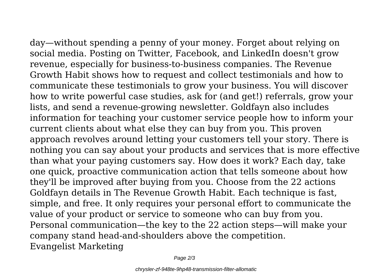day—without spending a penny of your money. Forget about relying on social media. Posting on Twitter, Facebook, and LinkedIn doesn't grow revenue, especially for business-to-business companies. The Revenue Growth Habit shows how to request and collect testimonials and how to communicate these testimonials to grow your business. You will discover how to write powerful case studies, ask for (and get!) referrals, grow your lists, and send a revenue-growing newsletter. Goldfayn also includes information for teaching your customer service people how to inform your current clients about what else they can buy from you. This proven approach revolves around letting your customers tell your story. There is nothing you can say about your products and services that is more effective than what your paying customers say. How does it work? Each day, take one quick, proactive communication action that tells someone about how they'll be improved after buying from you. Choose from the 22 actions Goldfayn details in The Revenue Growth Habit. Each technique is fast, simple, and free. It only requires your personal effort to communicate the value of your product or service to someone who can buy from you. Personal communication—the key to the 22 action steps—will make your company stand head-and-shoulders above the competition. Evangelist Marketing